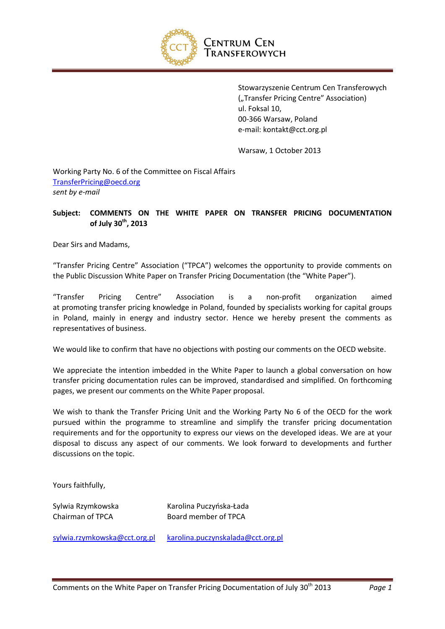

Stowarzyszenie Centrum Cen Transferowych ("Transfer Pricing Centre" Association) ul. Foksal 10, 00-366 Warsaw, Poland e-mail: kontakt@cct.org.pl

Warsaw, 1 October 2013

Working Party No. 6 of the Committee on Fiscal Affairs [TransferPricing@oecd.org](mailto:TransferPricing@oecd.org) *sent by e-mail*

#### **Subject: COMMENTS ON THE WHITE PAPER ON TRANSFER PRICING DOCUMENTATION of July 30th, 2013**

Dear Sirs and Madams,

"Transfer Pricing Centre" Association ("TPCA") welcomes the opportunity to provide comments on the Public Discussion White Paper on Transfer Pricing Documentation (the "White Paper").

"Transfer Pricing Centre" Association is a non-profit organization aimed at promoting transfer pricing knowledge in Poland, founded by specialists working for capital groups in Poland, mainly in energy and industry sector. Hence we hereby present the comments as representatives of business.

We would like to confirm that have no objections with posting our comments on the OECD website.

We appreciate the intention imbedded in the White Paper to launch a global conversation on how transfer pricing documentation rules can be improved, standardised and simplified. On forthcoming pages, we present our comments on the White Paper proposal.

We wish to thank the Transfer Pricing Unit and the Working Party No 6 of the OECD for the work pursued within the programme to streamline and simplify the transfer pricing documentation requirements and for the opportunity to express our views on the developed ideas. We are at your disposal to discuss any aspect of our comments. We look forward to developments and further discussions on the topic.

Yours faithfully,

Sylwia Rzymkowska Karolina Puczyńska-Łada Chairman of TPCA Board member of TPCA

[sylwia.rzymkowska@cct.org.pl](mailto:sylwia.rzymkowska@cct.org.pl) [karolina.puczynskalada@cct.org.pl](mailto:karolina.puczynskalada@cct.org.pl)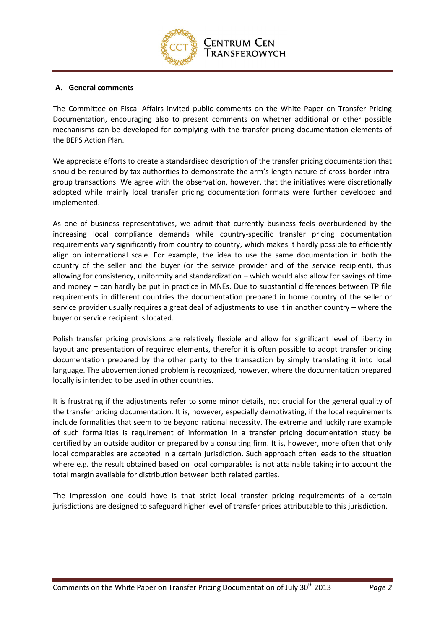

#### **A. General comments**

The Committee on Fiscal Affairs invited public comments on the White Paper on Transfer Pricing Documentation, encouraging also to present comments on whether additional or other possible mechanisms can be developed for complying with the transfer pricing documentation elements of the BEPS Action Plan.

We appreciate efforts to create a standardised description of the transfer pricing documentation that should be required by tax authorities to demonstrate the arm's length nature of cross-border intragroup transactions. We agree with the observation, however, that the initiatives were discretionally adopted while mainly local transfer pricing documentation formats were further developed and implemented.

As one of business representatives, we admit that currently business feels overburdened by the increasing local compliance demands while country-specific transfer pricing documentation requirements vary significantly from country to country, which makes it hardly possible to efficiently align on international scale. For example, the idea to use the same documentation in both the country of the seller and the buyer (or the service provider and of the service recipient), thus allowing for consistency, uniformity and standardization – which would also allow for savings of time and money – can hardly be put in practice in MNEs. Due to substantial differences between TP file requirements in different countries the documentation prepared in home country of the seller or service provider usually requires a great deal of adjustments to use it in another country – where the buyer or service recipient is located.

Polish transfer pricing provisions are relatively flexible and allow for significant level of liberty in layout and presentation of required elements, therefor it is often possible to adopt transfer pricing documentation prepared by the other party to the transaction by simply translating it into local language. The abovementioned problem is recognized, however, where the documentation prepared locally is intended to be used in other countries.

It is frustrating if the adjustments refer to some minor details, not crucial for the general quality of the transfer pricing documentation. It is, however, especially demotivating, if the local requirements include formalities that seem to be beyond rational necessity. The extreme and luckily rare example of such formalities is requirement of information in a transfer pricing documentation study be certified by an outside auditor or prepared by a consulting firm. It is, however, more often that only local comparables are accepted in a certain jurisdiction. Such approach often leads to the situation where e.g. the result obtained based on local comparables is not attainable taking into account the total margin available for distribution between both related parties.

The impression one could have is that strict local transfer pricing requirements of a certain jurisdictions are designed to safeguard higher level of transfer prices attributable to this jurisdiction.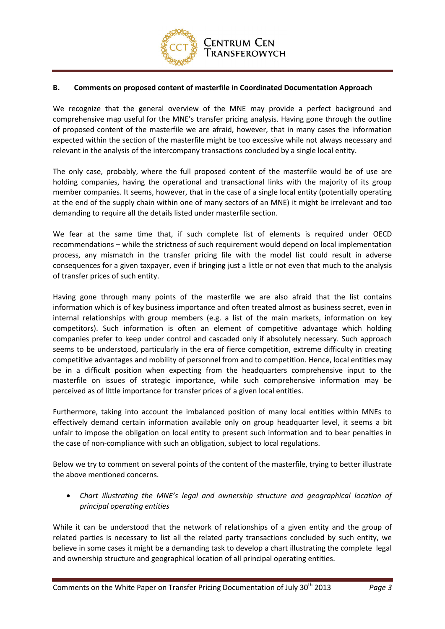

#### **B. Comments on proposed content of masterfile in Coordinated Documentation Approach**

We recognize that the general overview of the MNE may provide a perfect background and comprehensive map useful for the MNE's transfer pricing analysis. Having gone through the outline of proposed content of the masterfile we are afraid, however, that in many cases the information expected within the section of the masterfile might be too excessive while not always necessary and relevant in the analysis of the intercompany transactions concluded by a single local entity.

The only case, probably, where the full proposed content of the masterfile would be of use are holding companies, having the operational and transactional links with the majority of its group member companies. It seems, however, that in the case of a single local entity (potentially operating at the end of the supply chain within one of many sectors of an MNE) it might be irrelevant and too demanding to require all the details listed under masterfile section.

We fear at the same time that, if such complete list of elements is required under OECD recommendations – while the strictness of such requirement would depend on local implementation process, any mismatch in the transfer pricing file with the model list could result in adverse consequences for a given taxpayer, even if bringing just a little or not even that much to the analysis of transfer prices of such entity.

Having gone through many points of the masterfile we are also afraid that the list contains information which is of key business importance and often treated almost as business secret, even in internal relationships with group members (e.g. a list of the main markets, information on key competitors). Such information is often an element of competitive advantage which holding companies prefer to keep under control and cascaded only if absolutely necessary. Such approach seems to be understood, particularly in the era of fierce competition, extreme difficulty in creating competitive advantages and mobility of personnel from and to competition. Hence, local entities may be in a difficult position when expecting from the headquarters comprehensive input to the masterfile on issues of strategic importance, while such comprehensive information may be perceived as of little importance for transfer prices of a given local entities.

Furthermore, taking into account the imbalanced position of many local entities within MNEs to effectively demand certain information available only on group headquarter level, it seems a bit unfair to impose the obligation on local entity to present such information and to bear penalties in the case of non-compliance with such an obligation, subject to local regulations.

Below we try to comment on several points of the content of the masterfile, trying to better illustrate the above mentioned concerns.

 *Chart illustrating the MNE's legal and ownership structure and geographical location of principal operating entities*

While it can be understood that the network of relationships of a given entity and the group of related parties is necessary to list all the related party transactions concluded by such entity, we believe in some cases it might be a demanding task to develop a chart illustrating the complete legal and ownership structure and geographical location of all principal operating entities.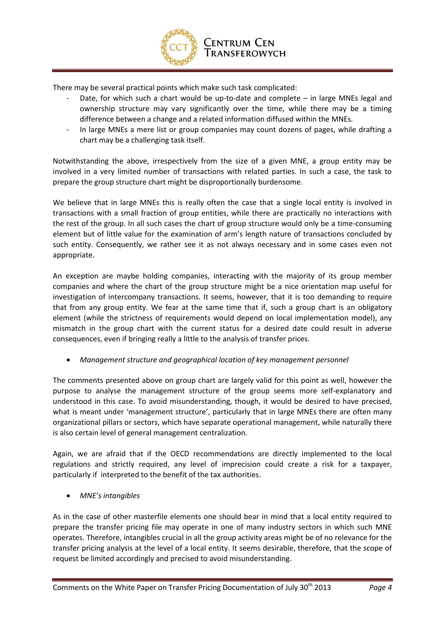

There may be several practical points which make such task complicated:

- Date, for which such a chart would be up-to-date and complete  $-$  in large MNEs legal and ownership structure may vary significantly over the time, while there may be a timing difference between a change and a related information diffused within the MNEs.
- In large MNEs a mere list or group companies may count dozens of pages, while drafting a chart may be a challenging task itself.

Notwithstanding the above, irrespectively from the size of a given MNE, a group entity may be involved in a very limited number of transactions with related parties. In such a case, the task to prepare the group structure chart might be disproportionally burdensome.

We believe that in large MNEs this is really often the case that a single local entity is involved in transactions with a small fraction of group entities, while there are practically no interactions with the rest of the group. In all such cases the chart of group structure would only be a time-consuming element but of little value for the examination of arm's length nature of transactions concluded by such entity. Consequently, we rather see it as not always necessary and in some cases even not appropriate.

An exception are maybe holding companies, interacting with the majority of its group member companies and where the chart of the group structure might be a nice orientation map useful for investigation of intercompany transactions. It seems, however, that it is too demanding to require that from any group entity. We fear at the same time that if, such a group chart is an obligatory element (while the strictness of requirements would depend on local implementation model), any mismatch in the group chart with the current status for a desired date could result in adverse consequences, even if bringing really a little to the analysis of transfer prices.

*Management structure and geographical location of key management personnel*

The comments presented above on group chart are largely valid for this point as well, however the purpose to analyse the management structure of the group seems more self-explanatory and understood in this case. To avoid misunderstanding, though, it would be desired to have precised, what is meant under 'management structure', particularly that in large MNEs there are often many organizational pillars or sectors, which have separate operational management, while naturally there is also certain level of general management centralization.

Again, we are afraid that if the OECD recommendations are directly implemented to the local regulations and strictly required, any level of imprecision could create a risk for a taxpayer, particularly if interpreted to the benefit of the tax authorities.

*MNE's intangibles*

As in the case of other masterfile elements one should bear in mind that a local entity required to prepare the transfer pricing file may operate in one of many industry sectors in which such MNE operates. Therefore, intangibles crucial in all the group activity areas might be of no relevance for the transfer pricing analysis at the level of a local entity. It seems desirable, therefore, that the scope of request be limited accordingly and precised to avoid misunderstanding.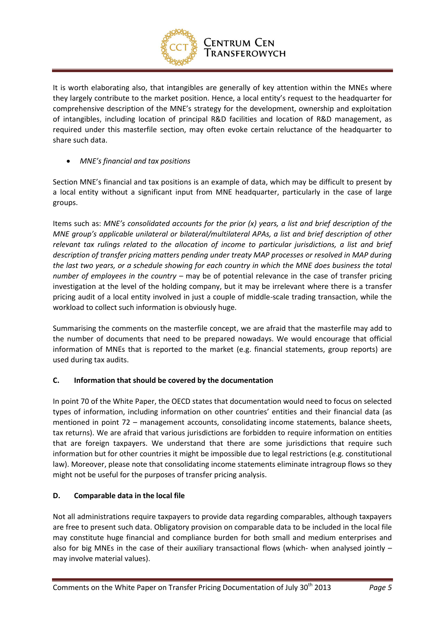

# Centrum Cen Transferowych

It is worth elaborating also, that intangibles are generally of key attention within the MNEs where they largely contribute to the market position. Hence, a local entity's request to the headquarter for comprehensive description of the MNE's strategy for the development, ownership and exploitation of intangibles, including location of principal R&D facilities and location of R&D management, as required under this masterfile section, may often evoke certain reluctance of the headquarter to share such data.

# *MNE's financial and tax positions*

Section MNE's financial and tax positions is an example of data, which may be difficult to present by a local entity without a significant input from MNE headquarter, particularly in the case of large groups.

Items such as: *MNE's consolidated accounts for the prior (x) years, a list and brief description of the MNE group's applicable unilateral or bilateral/multilateral APAs, a list and brief description of other relevant tax rulings related to the allocation of income to particular jurisdictions, a list and brief description of transfer pricing matters pending under treaty MAP processes or resolved in MAP during the last two years, or a schedule showing for each country in which the MNE does business the total number of employees in the country* – may be of potential relevance in the case of transfer pricing investigation at the level of the holding company, but it may be irrelevant where there is a transfer pricing audit of a local entity involved in just a couple of middle-scale trading transaction, while the workload to collect such information is obviously huge.

Summarising the comments on the masterfile concept, we are afraid that the masterfile may add to the number of documents that need to be prepared nowadays. We would encourage that official information of MNEs that is reported to the market (e.g. financial statements, group reports) are used during tax audits.

# **C. Information that should be covered by the documentation**

In point 70 of the White Paper, the OECD states that documentation would need to focus on selected types of information, including information on other countries' entities and their financial data (as mentioned in point 72 – management accounts, consolidating income statements, balance sheets, tax returns). We are afraid that various jurisdictions are forbidden to require information on entities that are foreign taxpayers. We understand that there are some jurisdictions that require such information but for other countries it might be impossible due to legal restrictions (e.g. constitutional law). Moreover, please note that consolidating income statements eliminate intragroup flows so they might not be useful for the purposes of transfer pricing analysis.

# **D. Comparable data in the local file**

Not all administrations require taxpayers to provide data regarding comparables, although taxpayers are free to present such data. Obligatory provision on comparable data to be included in the local file may constitute huge financial and compliance burden for both small and medium enterprises and also for big MNEs in the case of their auxiliary transactional flows (which- when analysed jointly – may involve material values).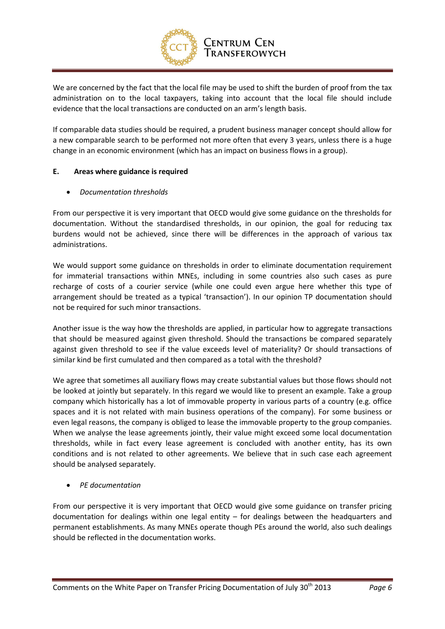

# **CENTRUM CEN** Transferowych

We are concerned by the fact that the local file may be used to shift the burden of proof from the tax administration on to the local taxpayers, taking into account that the local file should include evidence that the local transactions are conducted on an arm's length basis.

If comparable data studies should be required, a prudent business manager concept should allow for a new comparable search to be performed not more often that every 3 years, unless there is a huge change in an economic environment (which has an impact on business flows in a group).

## **E. Areas where guidance is required**

## *Documentation thresholds*

From our perspective it is very important that OECD would give some guidance on the thresholds for documentation. Without the standardised thresholds, in our opinion, the goal for reducing tax burdens would not be achieved, since there will be differences in the approach of various tax administrations.

We would support some guidance on thresholds in order to eliminate documentation requirement for immaterial transactions within MNEs, including in some countries also such cases as pure recharge of costs of a courier service (while one could even argue here whether this type of arrangement should be treated as a typical 'transaction'). In our opinion TP documentation should not be required for such minor transactions.

Another issue is the way how the thresholds are applied, in particular how to aggregate transactions that should be measured against given threshold. Should the transactions be compared separately against given threshold to see if the value exceeds level of materiality? Or should transactions of similar kind be first cumulated and then compared as a total with the threshold?

We agree that sometimes all auxiliary flows may create substantial values but those flows should not be looked at jointly but separately. In this regard we would like to present an example. Take a group company which historically has a lot of immovable property in various parts of a country (e.g. office spaces and it is not related with main business operations of the company). For some business or even legal reasons, the company is obliged to lease the immovable property to the group companies. When we analyse the lease agreements jointly, their value might exceed some local documentation thresholds, while in fact every lease agreement is concluded with another entity, has its own conditions and is not related to other agreements. We believe that in such case each agreement should be analysed separately.

*PE documentation* 

From our perspective it is very important that OECD would give some guidance on transfer pricing documentation for dealings within one legal entity – for dealings between the headquarters and permanent establishments. As many MNEs operate though PEs around the world, also such dealings should be reflected in the documentation works.